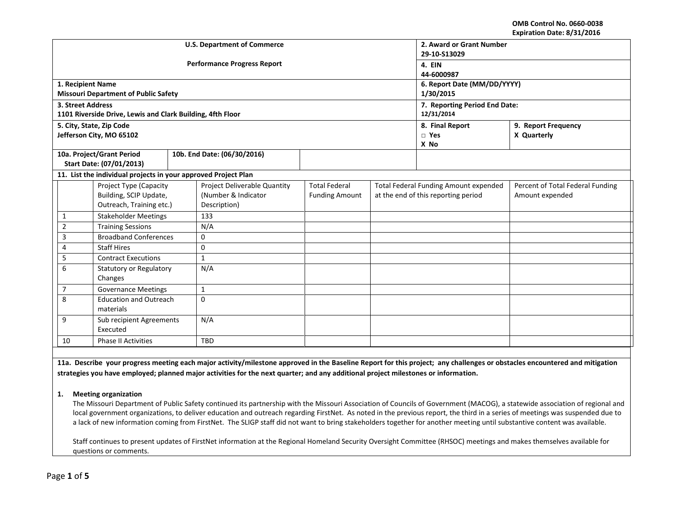**OMB Control No. 0660-0038 Expiration Date: 8/31/2016**

|                                                                |                                                            |     | <b>U.S. Department of Commerce</b> | 2. Award or Grant Number      |                                     |                                              |                                  |  |  |
|----------------------------------------------------------------|------------------------------------------------------------|-----|------------------------------------|-------------------------------|-------------------------------------|----------------------------------------------|----------------------------------|--|--|
|                                                                |                                                            |     |                                    | 29-10-S13029                  |                                     |                                              |                                  |  |  |
|                                                                |                                                            |     | <b>Performance Progress Report</b> | 4. EIN                        |                                     |                                              |                                  |  |  |
|                                                                |                                                            |     |                                    |                               |                                     | 44-6000987                                   |                                  |  |  |
| 1. Recipient Name                                              |                                                            |     |                                    |                               |                                     | 6. Report Date (MM/DD/YYYY)                  |                                  |  |  |
|                                                                | <b>Missouri Department of Public Safety</b>                |     |                                    |                               |                                     | 1/30/2015                                    |                                  |  |  |
| 3. Street Address                                              |                                                            |     |                                    | 7. Reporting Period End Date: |                                     |                                              |                                  |  |  |
|                                                                | 1101 Riverside Drive, Lewis and Clark Building, 4fth Floor |     |                                    |                               |                                     | 12/31/2014                                   |                                  |  |  |
|                                                                | 5. City, State, Zip Code                                   |     |                                    |                               |                                     | 8. Final Report                              | 9. Report Frequency              |  |  |
|                                                                | Jefferson City, MO 65102                                   |     |                                    |                               |                                     | $\square$ Yes                                | X Quarterly                      |  |  |
|                                                                |                                                            |     |                                    |                               |                                     | X No                                         |                                  |  |  |
|                                                                | 10a. Project/Grant Period                                  |     | 10b. End Date: (06/30/2016)        |                               |                                     |                                              |                                  |  |  |
|                                                                | Start Date: (07/01/2013)                                   |     |                                    |                               |                                     |                                              |                                  |  |  |
| 11. List the individual projects in your approved Project Plan |                                                            |     |                                    |                               |                                     |                                              |                                  |  |  |
|                                                                | Project Type (Capacity                                     |     | Project Deliverable Quantity       | <b>Total Federal</b>          |                                     | <b>Total Federal Funding Amount expended</b> | Percent of Total Federal Funding |  |  |
|                                                                | Building, SCIP Update,                                     |     | (Number & Indicator                | <b>Funding Amount</b>         | at the end of this reporting period |                                              | Amount expended                  |  |  |
|                                                                | Outreach, Training etc.)                                   |     | Description)                       |                               |                                     |                                              |                                  |  |  |
| $\mathbf{1}$                                                   | <b>Stakeholder Meetings</b>                                |     | 133                                |                               |                                     |                                              |                                  |  |  |
| $\overline{2}$                                                 | <b>Training Sessions</b>                                   |     | N/A                                |                               |                                     |                                              |                                  |  |  |
| 3                                                              | <b>Broadband Conferences</b>                               |     | $\mathbf 0$                        |                               |                                     |                                              |                                  |  |  |
| 4                                                              | <b>Staff Hires</b>                                         |     | $\mathbf 0$                        |                               |                                     |                                              |                                  |  |  |
| 5                                                              | <b>Contract Executions</b>                                 |     | $\mathbf{1}$                       |                               |                                     |                                              |                                  |  |  |
| 6                                                              | Statutory or Regulatory                                    |     | N/A                                |                               |                                     |                                              |                                  |  |  |
| Changes                                                        |                                                            |     |                                    |                               |                                     |                                              |                                  |  |  |
| $\overline{7}$                                                 | <b>Governance Meetings</b>                                 |     | $1\,$                              |                               |                                     |                                              |                                  |  |  |
| 8                                                              | <b>Education and Outreach</b>                              |     | $\Omega$                           |                               |                                     |                                              |                                  |  |  |
|                                                                | materials                                                  |     |                                    |                               |                                     |                                              |                                  |  |  |
| 9<br>Sub recipient Agreements                                  |                                                            | N/A |                                    |                               |                                     |                                              |                                  |  |  |
| Executed                                                       |                                                            |     |                                    |                               |                                     |                                              |                                  |  |  |
| 10                                                             | <b>Phase II Activities</b>                                 |     | TBD                                |                               |                                     |                                              |                                  |  |  |

**11a. Describe your progress meeting each major activity/milestone approved in the Baseline Report for this project; any challenges or obstacles encountered and mitigation strategies you have employed; planned major activities for the next quarter; and any additional project milestones or information.**

#### **1. Meeting organization**

The Missouri Department of Public Safety continued its partnership with the Missouri Association of Councils of Government (MACOG), a statewide association of regional and local government organizations, to deliver education and outreach regarding FirstNet. As noted in the previous report, the third in a series of meetings was suspended due to a lack of new information coming from FirstNet. The SLIGP staff did not want to bring stakeholders together for another meeting until substantive content was available.

Staff continues to present updates of FirstNet information at the Regional Homeland Security Oversight Committee (RHSOC) meetings and makes themselves available for questions or comments.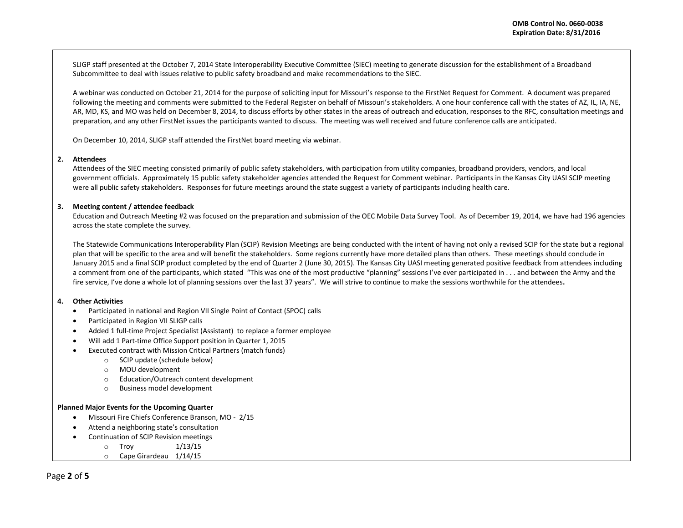SLIGP staff presented at the October 7, 2014 State Interoperability Executive Committee (SIEC) meeting to generate discussion for the establishment of a Broadband Subcommittee to deal with issues relative to public safety broadband and make recommendations to the SIEC.

A webinar was conducted on October 21, 2014 for the purpose of soliciting input for Missouri's response to the FirstNet Request for Comment. A document was prepared following the meeting and comments were submitted to the Federal Register on behalf of Missouri's stakeholders. A one hour conference call with the states of AZ, IL, IA, NE, AR, MD, KS, and MO was held on December 8, 2014, to discuss efforts by other states in the areas of outreach and education, responses to the RFC, consultation meetings and preparation, and any other FirstNet issues the participants wanted to discuss. The meeting was well received and future conference calls are anticipated.

On December 10, 2014, SLIGP staff attended the FirstNet board meeting via webinar.

#### **2. Attendees**

Attendees of the SIEC meeting consisted primarily of public safety stakeholders, with participation from utility companies, broadband providers, vendors, and local government officials. Approximately 15 public safety stakeholder agencies attended the Request for Comment webinar. Participants in the Kansas City UASI SCIP meeting were all public safety stakeholders. Responses for future meetings around the state suggest a variety of participants including health care.

## **3. Meeting content / attendee feedback**

Education and Outreach Meeting #2 was focused on the preparation and submission of the OEC Mobile Data Survey Tool. As of December 19, 2014, we have had 196 agencies across the state complete the survey.

The Statewide Communications Interoperability Plan (SCIP) Revision Meetings are being conducted with the intent of having not only a revised SCIP for the state but a regional plan that will be specific to the area and will benefit the stakeholders. Some regions currently have more detailed plans than others. These meetings should conclude in January 2015 and a final SCIP product completed by the end of Quarter 2 (June 30, 2015). The Kansas City UASI meeting generated positive feedback from attendees including a comment from one of the participants, which stated "This was one of the most productive "planning" sessions I've ever participated in . . . and between the Army and the fire service, I've done a whole lot of planning sessions over the last 37 years". We will strive to continue to make the sessions worthwhile for the attendees**.**

#### **4. Other Activities**

- Participated in national and Region VII Single Point of Contact (SPOC) calls
- Participated in Region VII SLIGP calls
- Added 1 full-time Project Specialist (Assistant) to replace a former employee
- Will add 1 Part-time Office Support position in Quarter 1, 2015
- Executed contract with Mission Critical Partners (match funds)
	- o SCIP update (schedule below)
	- o MOU development
	- o Education/Outreach content development
	- o Business model development

#### **Planned Major Events for the Upcoming Quarter**

- Missouri Fire Chiefs Conference Branson, MO 2/15
- Attend a neighboring state's consultation
- Continuation of SCIP Revision meetings
	- $\circ$  Troy  $1/13/15$
	- o Cape Girardeau 1/14/15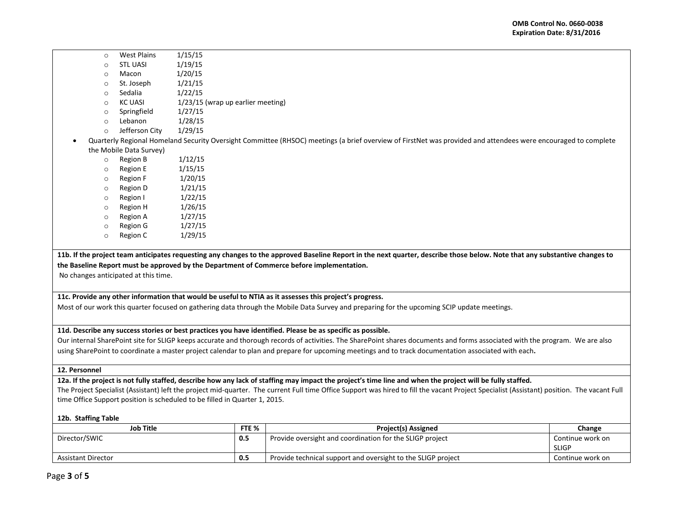- o West Plains 1/15/15
- $\circ$  STL UASI  $1/19/15$
- o Macon 1/20/15
- o St. Joseph 1/21/15
- o Sedalia 1/22/15
- $\circ$  KC UASI 1/23/15 (wrap up earlier meeting)
- o Springfield 1/27/15
- $\circ$  Lebanon  $1/28/15$
- o Jefferson City 1/29/15
- Quarterly Regional Homeland Security Oversight Committee (RHSOC) meetings (a brief overview of FirstNet was provided and attendees were encouraged to complete the Mobile Data Survey)
	- o Region B 1/12/15
	- o Region E 1/15/15
	- $\circ$  Region F  $1/20/15$
	- $\circ$  Region D  $1/21/15$
	- $\circ$  Region I  $1/22/15$
	- o Region H 1/26/15
	- $\circ$  Region A  $1/27/15$
	- o Region G 1/27/15
	- $\circ$  Region C  $1/29/15$

**11b. If the project team anticipates requesting any changes to the approved Baseline Report in the next quarter, describe those below. Note that any substantive changes to the Baseline Report must be approved by the Department of Commerce before implementation.** 

No changes anticipated at this time.

## **11c. Provide any other information that would be useful to NTIA as it assesses this project's progress.**

Most of our work this quarter focused on gathering data through the Mobile Data Survey and preparing for the upcoming SCIP update meetings.

## **11d. Describe any success stories or best practices you have identified. Please be as specific as possible.**

Our internal SharePoint site for SLIGP keeps accurate and thorough records of activities. The SharePoint shares documents and forms associated with the program. We are also using SharePoint to coordinate a master project calendar to plan and prepare for upcoming meetings and to track documentation associated with each**.**

## **12. Personnel**

**12a. If the project is not fully staffed, describe how any lack of staffing may impact the project's time line and when the project will be fully staffed.**

The Project Specialist (Assistant) left the project mid-quarter. The current Full time Office Support was hired to fill the vacant Project Specialist (Assistant) position. The vacant Full time Office Support position is scheduled to be filled in Quarter 1, 2015.

## **12b. Staffing Table**

| Job Title                 | FTE % | <b>Project(s) Assigned</b>                                   | Change                           |
|---------------------------|-------|--------------------------------------------------------------|----------------------------------|
| Director/SWIC             | 0.5   | Provide oversight and coordination for the SLIGP project     | Continue work on<br><b>SLIGP</b> |
| <b>Assistant Director</b> | 0.5   | Provide technical support and oversight to the SLIGP project | Continue work on                 |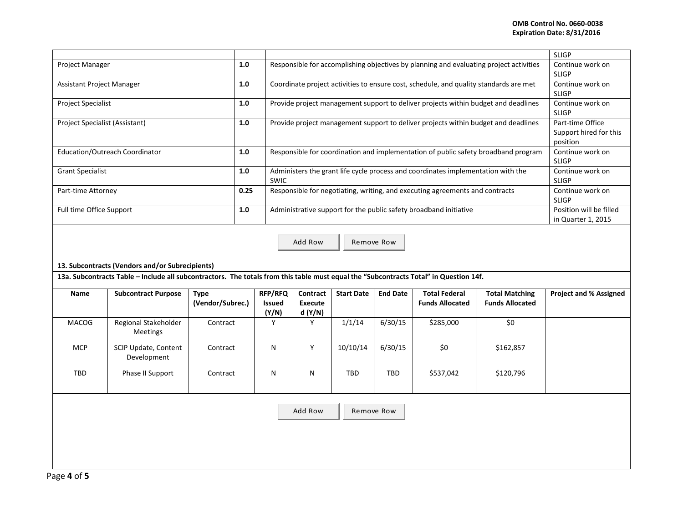# **OMB Control No. 0660-0038 Expiration Date: 8/31/2016**

|                                                                                                                                       |             |                                                 |                                                                                                       |                                                        |                 |                                                |                                                                   | <b>SLIGP</b>                                                                                                                                                                                                                                                                                                                                                                                                                                                                                                                                                                                                          |  |
|---------------------------------------------------------------------------------------------------------------------------------------|-------------|-------------------------------------------------|-------------------------------------------------------------------------------------------------------|--------------------------------------------------------|-----------------|------------------------------------------------|-------------------------------------------------------------------|-----------------------------------------------------------------------------------------------------------------------------------------------------------------------------------------------------------------------------------------------------------------------------------------------------------------------------------------------------------------------------------------------------------------------------------------------------------------------------------------------------------------------------------------------------------------------------------------------------------------------|--|
| Project Manager                                                                                                                       |             |                                                 |                                                                                                       | Continue work on<br><b>SLIGP</b>                       |                 |                                                |                                                                   |                                                                                                                                                                                                                                                                                                                                                                                                                                                                                                                                                                                                                       |  |
| Assistant Project Manager                                                                                                             |             |                                                 |                                                                                                       | Continue work on<br><b>SLIGP</b>                       |                 |                                                |                                                                   |                                                                                                                                                                                                                                                                                                                                                                                                                                                                                                                                                                                                                       |  |
| <b>Project Specialist</b>                                                                                                             |             |                                                 |                                                                                                       | Continue work on<br><b>SLIGP</b>                       |                 |                                                |                                                                   |                                                                                                                                                                                                                                                                                                                                                                                                                                                                                                                                                                                                                       |  |
| Project Specialist (Assistant)                                                                                                        |             |                                                 |                                                                                                       | Part-time Office<br>Support hired for this<br>position |                 |                                                |                                                                   |                                                                                                                                                                                                                                                                                                                                                                                                                                                                                                                                                                                                                       |  |
| Education/Outreach Coordinator                                                                                                        |             |                                                 |                                                                                                       | Continue work on<br><b>SLIGP</b>                       |                 |                                                |                                                                   |                                                                                                                                                                                                                                                                                                                                                                                                                                                                                                                                                                                                                       |  |
| <b>Grant Specialist</b>                                                                                                               |             | SWIC                                            |                                                                                                       | Continue work on<br><b>SLIGP</b>                       |                 |                                                |                                                                   |                                                                                                                                                                                                                                                                                                                                                                                                                                                                                                                                                                                                                       |  |
| Part-time Attorney                                                                                                                    |             |                                                 |                                                                                                       | Continue work on<br><b>SLIGP</b>                       |                 |                                                |                                                                   |                                                                                                                                                                                                                                                                                                                                                                                                                                                                                                                                                                                                                       |  |
| Full time Office Support                                                                                                              |             |                                                 |                                                                                                       | Position will be filled<br>in Quarter 1, 2015          |                 |                                                |                                                                   |                                                                                                                                                                                                                                                                                                                                                                                                                                                                                                                                                                                                                       |  |
| Add Row<br>Remove Row                                                                                                                 |             |                                                 |                                                                                                       |                                                        |                 |                                                |                                                                   |                                                                                                                                                                                                                                                                                                                                                                                                                                                                                                                                                                                                                       |  |
| 13a. Subcontracts Table - Include all subcontractors. The totals from this table must equal the "Subcontracts Total" in Question 14f. |             |                                                 |                                                                                                       |                                                        |                 |                                                |                                                                   |                                                                                                                                                                                                                                                                                                                                                                                                                                                                                                                                                                                                                       |  |
| <b>Subcontract Purpose</b>                                                                                                            | <b>Type</b> | <b>RFP/RFQ</b><br>Issued                        | Contract<br><b>Execute</b>                                                                            | <b>Start Date</b>                                      | <b>End Date</b> | <b>Total Federal</b><br><b>Funds Allocated</b> | <b>Total Matching</b><br><b>Funds Allocated</b>                   | <b>Project and % Assigned</b>                                                                                                                                                                                                                                                                                                                                                                                                                                                                                                                                                                                         |  |
| Regional Stakeholder<br><b>Meetings</b>                                                                                               | Contract    | Y                                               | Y                                                                                                     | 1/1/14                                                 | 6/30/15         | \$285,000                                      | $\overline{\xi_0}$                                                |                                                                                                                                                                                                                                                                                                                                                                                                                                                                                                                                                                                                                       |  |
| SCIP Update, Content<br>Development                                                                                                   | Contract    | N                                               | Y                                                                                                     | 10/10/14                                               | 6/30/15         | \$0                                            | \$162,857                                                         |                                                                                                                                                                                                                                                                                                                                                                                                                                                                                                                                                                                                                       |  |
| Phase II Support                                                                                                                      | Contract    |                                                 | N                                                                                                     | TBD                                                    | <b>TBD</b>      | \$537,042                                      | \$120,796                                                         |                                                                                                                                                                                                                                                                                                                                                                                                                                                                                                                                                                                                                       |  |
| Add Row<br>Remove Row                                                                                                                 |             |                                                 |                                                                                                       |                                                        |                 |                                                |                                                                   |                                                                                                                                                                                                                                                                                                                                                                                                                                                                                                                                                                                                                       |  |
|                                                                                                                                       |             | 13. Subcontracts (Vendors and/or Subrecipients) | $1.0$<br>$1.0\,$<br>1.0<br>1.0<br>$1.0$<br>$1.0\,$<br>0.25<br>$1.0$<br>(Vendor/Subrec.)<br>(Y/N)<br>N | d (Y/N)                                                |                 |                                                | Administrative support for the public safety broadband initiative | Responsible for accomplishing objectives by planning and evaluating project activities<br>Coordinate project activities to ensure cost, schedule, and quality standards are met<br>Provide project management support to deliver projects within budget and deadlines<br>Provide project management support to deliver projects within budget and deadlines<br>Responsible for coordination and implementation of public safety broadband program<br>Administers the grant life cycle process and coordinates implementation with the<br>Responsible for negotiating, writing, and executing agreements and contracts |  |